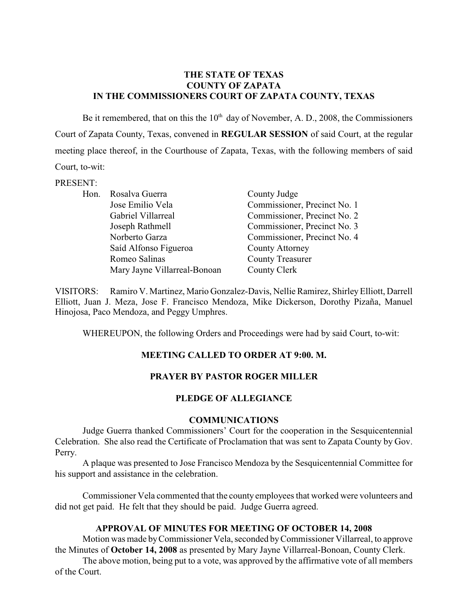## **THE STATE OF TEXAS COUNTY OF ZAPATA IN THE COMMISSIONERS COURT OF ZAPATA COUNTY, TEXAS**

Be it remembered, that on this the  $10<sup>th</sup>$  day of November, A. D., 2008, the Commissioners Court of Zapata County, Texas, convened in **REGULAR SESSION** of said Court, at the regular meeting place thereof, in the Courthouse of Zapata, Texas, with the following members of said Court, to-wit:

### PRESENT:

| Hon. | Rosalva Guerra               | County Judge                 |
|------|------------------------------|------------------------------|
|      | Jose Emilio Vela             | Commissioner, Precinct No. 1 |
|      | Gabriel Villarreal           | Commissioner, Precinct No. 2 |
|      | Joseph Rathmell              | Commissioner, Precinct No. 3 |
|      | Norberto Garza               | Commissioner, Precinct No. 4 |
|      | Saíd Alfonso Figueroa        | <b>County Attorney</b>       |
|      | Romeo Salinas                | <b>County Treasurer</b>      |
|      | Mary Jayne Villarreal-Bonoan | County Clerk                 |

VISITORS: Ramiro V. Martinez, Mario Gonzalez-Davis, Nellie Ramirez, Shirley Elliott, Darrell Elliott, Juan J. Meza, Jose F. Francisco Mendoza, Mike Dickerson, Dorothy Pizaña, Manuel Hinojosa, Paco Mendoza, and Peggy Umphres.

WHEREUPON, the following Orders and Proceedings were had by said Court, to-wit:

# **MEETING CALLED TO ORDER AT 9:00. M.**

# **PRAYER BY PASTOR ROGER MILLER**

# **PLEDGE OF ALLEGIANCE**

### **COMMUNICATIONS**

Judge Guerra thanked Commissioners' Court for the cooperation in the Sesquicentennial Celebration. She also read the Certificate of Proclamation that was sent to Zapata County by Gov. Perry.

A plaque was presented to Jose Francisco Mendoza by the Sesquicentennial Committee for his support and assistance in the celebration.

Commissioner Vela commented that the county employees that worked were volunteers and did not get paid. He felt that they should be paid. Judge Guerra agreed.

# **APPROVAL OF MINUTES FOR MEETING OF OCTOBER 14, 2008**

Motion was made byCommissioner Vela, seconded by Commissioner Villarreal, to approve the Minutes of **October 14, 2008** as presented by Mary Jayne Villarreal-Bonoan, County Clerk.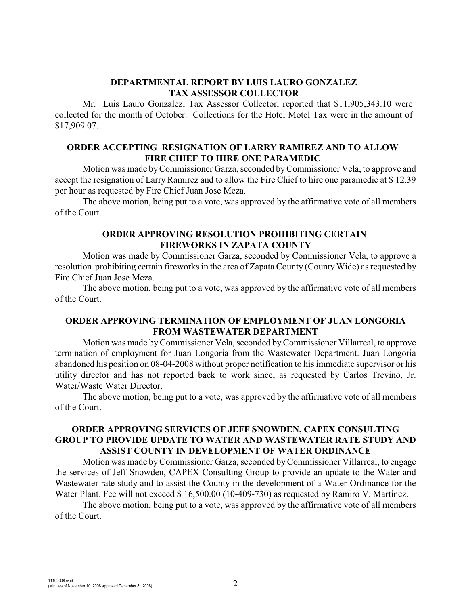## **DEPARTMENTAL REPORT BY LUIS LAURO GONZALEZ TAX ASSESSOR COLLECTOR**

Mr. Luis Lauro Gonzalez, Tax Assessor Collector, reported that \$11,905,343.10 were collected for the month of October. Collections for the Hotel Motel Tax were in the amount of \$17,909.07.

# **ORDER ACCEPTING RESIGNATION OF LARRY RAMIREZ AND TO ALLOW FIRE CHIEF TO HIRE ONE PARAMEDIC**

Motion was made byCommissioner Garza, seconded byCommissioner Vela, to approve and accept the resignation of Larry Ramirez and to allow the Fire Chief to hire one paramedic at \$ 12.39 per hour as requested by Fire Chief Juan Jose Meza.

The above motion, being put to a vote, was approved by the affirmative vote of all members of the Court.

## **ORDER APPROVING RESOLUTION PROHIBITING CERTAIN FIREWORKS IN ZAPATA COUNTY**

Motion was made by Commissioner Garza, seconded by Commissioner Vela, to approve a resolution prohibiting certain fireworks in the area of Zapata County (County Wide) as requested by Fire Chief Juan Jose Meza.

The above motion, being put to a vote, was approved by the affirmative vote of all members of the Court.

## **ORDER APPROVING TERMINATION OF EMPLOYMENT OF JUAN LONGORIA FROM WASTEWATER DEPARTMENT**

Motion was made by Commissioner Vela, seconded by Commissioner Villarreal, to approve termination of employment for Juan Longoria from the Wastewater Department. Juan Longoria abandoned his position on 08-04-2008 without proper notification to his immediate supervisor or his utility director and has not reported back to work since, as requested by Carlos Trevino, Jr. Water/Waste Water Director.

The above motion, being put to a vote, was approved by the affirmative vote of all members of the Court.

# **ORDER APPROVING SERVICES OF JEFF SNOWDEN, CAPEX CONSULTING GROUP TO PROVIDE UPDATE TO WATER AND WASTEWATER RATE STUDY AND ASSIST COUNTY IN DEVELOPMENT OF WATER ORDINANCE**

Motion was made by Commissioner Garza, seconded by Commissioner Villarreal, to engage the services of Jeff Snowden, CAPEX Consulting Group to provide an update to the Water and Wastewater rate study and to assist the County in the development of a Water Ordinance for the Water Plant. Fee will not exceed \$ 16,500.00 (10-409-730) as requested by Ramiro V. Martinez.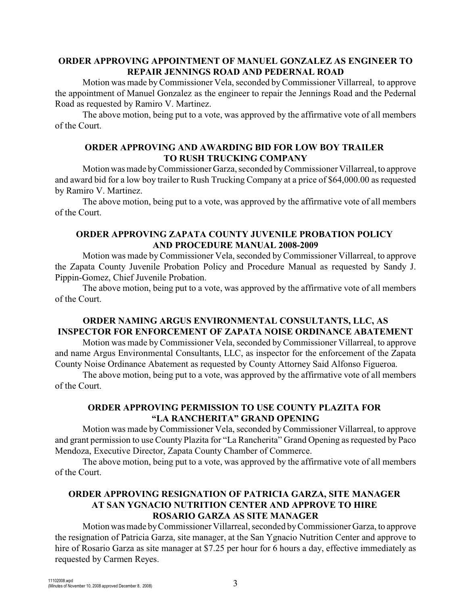# **ORDER APPROVING APPOINTMENT OF MANUEL GONZALEZ AS ENGINEER TO REPAIR JENNINGS ROAD AND PEDERNAL ROAD**

Motion was made byCommissioner Vela, seconded by Commissioner Villarreal, to approve the appointment of Manuel Gonzalez as the engineer to repair the Jennings Road and the Pedernal Road as requested by Ramiro V. Martinez.

The above motion, being put to a vote, was approved by the affirmative vote of all members of the Court.

# **ORDER APPROVING AND AWARDING BID FOR LOW BOY TRAILER TO RUSH TRUCKING COMPANY**

Motion was made by Commissioner Garza, seconded byCommissioner Villarreal, to approve and award bid for a low boy trailer to Rush Trucking Company at a price of \$64,000.00 as requested by Ramiro V. Martinez.

The above motion, being put to a vote, was approved by the affirmative vote of all members of the Court.

# **ORDER APPROVING ZAPATA COUNTY JUVENILE PROBATION POLICY AND PROCEDURE MANUAL 2008-2009**

Motion was made by Commissioner Vela, seconded by Commissioner Villarreal, to approve the Zapata County Juvenile Probation Policy and Procedure Manual as requested by Sandy J. Pippin-Gomez, Chief Juvenile Probation.

The above motion, being put to a vote, was approved by the affirmative vote of all members of the Court.

# **ORDER NAMING ARGUS ENVIRONMENTAL CONSULTANTS, LLC, AS INSPECTOR FOR ENFORCEMENT OF ZAPATA NOISE ORDINANCE ABATEMENT**

Motion was made by Commissioner Vela, seconded by Commissioner Villarreal, to approve and name Argus Environmental Consultants, LLC, as inspector for the enforcement of the Zapata County Noise Ordinance Abatement as requested by County Attorney Said Alfonso Figueroa.

The above motion, being put to a vote, was approved by the affirmative vote of all members of the Court.

## **ORDER APPROVING PERMISSION TO USE COUNTY PLAZITA FOR "LA RANCHERITA" GRAND OPENING**

Motion was made by Commissioner Vela, seconded by Commissioner Villarreal, to approve and grant permission to use County Plazita for "La Rancherita" Grand Opening as requested by Paco Mendoza, Executive Director, Zapata County Chamber of Commerce.

The above motion, being put to a vote, was approved by the affirmative vote of all members of the Court.

# **ORDER APPROVING RESIGNATION OF PATRICIA GARZA, SITE MANAGER AT SAN YGNACIO NUTRITION CENTER AND APPROVE TO HIRE ROSARIO GARZA AS SITE MANAGER**

Motion was made by Commissioner Villarreal, seconded byCommissioner Garza, to approve the resignation of Patricia Garza, site manager, at the San Ygnacio Nutrition Center and approve to hire of Rosario Garza as site manager at \$7.25 per hour for 6 hours a day, effective immediately as requested by Carmen Reyes.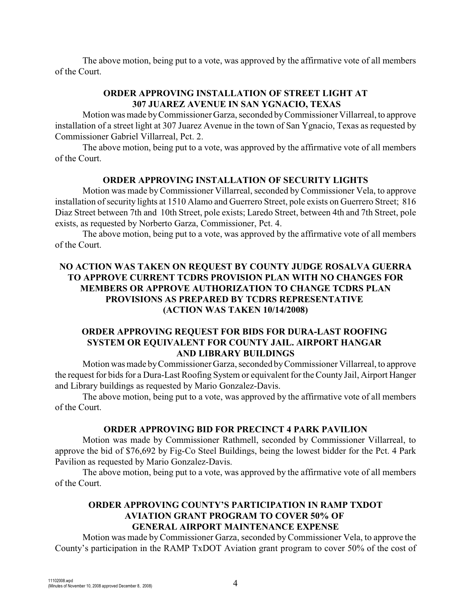The above motion, being put to a vote, was approved by the affirmative vote of all members of the Court.

# **ORDER APPROVING INSTALLATION OF STREET LIGHT AT 307 JUAREZ AVENUE IN SAN YGNACIO, TEXAS**

Motion was made byCommissioner Garza, seconded byCommissioner Villarreal, to approve installation of a street light at 307 Juarez Avenue in the town of San Ygnacio, Texas as requested by Commissioner Gabriel Villarreal, Pct. 2.

The above motion, being put to a vote, was approved by the affirmative vote of all members of the Court.

### **ORDER APPROVING INSTALLATION OF SECURITY LIGHTS**

Motion was made by Commissioner Villarreal, seconded by Commissioner Vela, to approve installation of security lights at 1510 Alamo and Guerrero Street, pole exists on Guerrero Street; 816 Diaz Street between 7th and 10th Street, pole exists; Laredo Street, between 4th and 7th Street, pole exists, as requested by Norberto Garza, Commissioner, Pct. 4.

The above motion, being put to a vote, was approved by the affirmative vote of all members of the Court.

# **NO ACTION WAS TAKEN ON REQUEST BY COUNTY JUDGE ROSALVA GUERRA TO APPROVE CURRENT TCDRS PROVISION PLAN WITH NO CHANGES FOR MEMBERS OR APPROVE AUTHORIZATION TO CHANGE TCDRS PLAN PROVISIONS AS PREPARED BY TCDRS REPRESENTATIVE (ACTION WAS TAKEN 10/14/2008)**

# **ORDER APPROVING REQUEST FOR BIDS FOR DURA-LAST ROOFING SYSTEM OR EQUIVALENT FOR COUNTY JAIL. AIRPORT HANGAR AND LIBRARY BUILDINGS**

Motion was made byCommissioner Garza, seconded by Commissioner Villarreal, to approve the request for bids for a Dura-Last Roofing System or equivalent for the County Jail, Airport Hanger and Library buildings as requested by Mario Gonzalez-Davis.

The above motion, being put to a vote, was approved by the affirmative vote of all members of the Court.

### **ORDER APPROVING BID FOR PRECINCT 4 PARK PAVILION**

Motion was made by Commissioner Rathmell, seconded by Commissioner Villarreal, to approve the bid of \$76,692 by Fig-Co Steel Buildings, being the lowest bidder for the Pct. 4 Park Pavilion as requested by Mario Gonzalez-Davis.

The above motion, being put to a vote, was approved by the affirmative vote of all members of the Court.

# **ORDER APPROVING COUNTY'S PARTICIPATION IN RAMP TXDOT AVIATION GRANT PROGRAM TO COVER 50% OF GENERAL AIRPORT MAINTENANCE EXPENSE**

Motion was made by Commissioner Garza, seconded by Commissioner Vela, to approve the County's participation in the RAMP TxDOT Aviation grant program to cover 50% of the cost of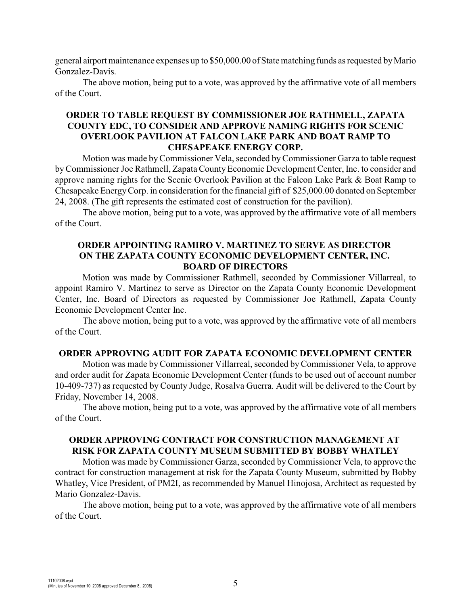general airport maintenance expenses up to \$50,000.00 of State matching funds as requested by Mario Gonzalez-Davis.

The above motion, being put to a vote, was approved by the affirmative vote of all members of the Court.

# **ORDER TO TABLE REQUEST BY COMMISSIONER JOE RATHMELL, ZAPATA COUNTY EDC, TO CONSIDER AND APPROVE NAMING RIGHTS FOR SCENIC OVERLOOK PAVILION AT FALCON LAKE PARK AND BOAT RAMP TO CHESAPEAKE ENERGY CORP.**

Motion was made by Commissioner Vela, seconded by Commissioner Garza to table request by Commissioner Joe Rathmell, Zapata County Economic Development Center, Inc. to consider and approve naming rights for the Scenic Overlook Pavilion at the Falcon Lake Park & Boat Ramp to Chesapeake Energy Corp. in consideration for the financial gift of \$25,000.00 donated on September 24, 2008. (The gift represents the estimated cost of construction for the pavilion).

The above motion, being put to a vote, was approved by the affirmative vote of all members of the Court.

### **ORDER APPOINTING RAMIRO V. MARTINEZ TO SERVE AS DIRECTOR ON THE ZAPATA COUNTY ECONOMIC DEVELOPMENT CENTER, INC. BOARD OF DIRECTORS**

Motion was made by Commissioner Rathmell, seconded by Commissioner Villarreal, to appoint Ramiro V. Martinez to serve as Director on the Zapata County Economic Development Center, Inc. Board of Directors as requested by Commissioner Joe Rathmell, Zapata County Economic Development Center Inc.

The above motion, being put to a vote, was approved by the affirmative vote of all members of the Court.

### **ORDER APPROVING AUDIT FOR ZAPATA ECONOMIC DEVELOPMENT CENTER**

Motion was made by Commissioner Villarreal, seconded by Commissioner Vela, to approve and order audit for Zapata Economic Development Center (funds to be used out of account number 10-409-737) as requested by County Judge, Rosalva Guerra. Audit will be delivered to the Court by Friday, November 14, 2008.

The above motion, being put to a vote, was approved by the affirmative vote of all members of the Court.

# **ORDER APPROVING CONTRACT FOR CONSTRUCTION MANAGEMENT AT RISK FOR ZAPATA COUNTY MUSEUM SUBMITTED BY BOBBY WHATLEY**

Motion was made by Commissioner Garza, seconded by Commissioner Vela, to approve the contract for construction management at risk for the Zapata County Museum, submitted by Bobby Whatley, Vice President, of PM2I, as recommended by Manuel Hinojosa, Architect as requested by Mario Gonzalez-Davis.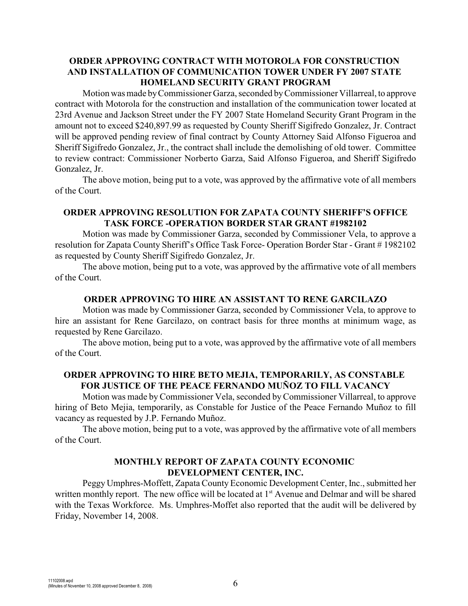# **ORDER APPROVING CONTRACT WITH MOTOROLA FOR CONSTRUCTION AND INSTALLATION OF COMMUNICATION TOWER UNDER FY 2007 STATE HOMELAND SECURITY GRANT PROGRAM**

Motion was made by Commissioner Garza, seconded byCommissioner Villarreal, to approve contract with Motorola for the construction and installation of the communication tower located at 23rd Avenue and Jackson Street under the FY 2007 State Homeland Security Grant Program in the amount not to exceed \$240,897.99 as requested by County Sheriff Sigifredo Gonzalez, Jr. Contract will be approved pending review of final contract by County Attorney Said Alfonso Figueroa and Sheriff Sigifredo Gonzalez, Jr., the contract shall include the demolishing of old tower. Committee to review contract: Commissioner Norberto Garza, Said Alfonso Figueroa, and Sheriff Sigifredo Gonzalez, Jr.

The above motion, being put to a vote, was approved by the affirmative vote of all members of the Court.

# **ORDER APPROVING RESOLUTION FOR ZAPATA COUNTY SHERIFF'S OFFICE TASK FORCE -OPERATION BORDER STAR GRANT #1982102**

Motion was made by Commissioner Garza, seconded by Commissioner Vela, to approve a resolution for Zapata County Sheriff's Office Task Force- Operation Border Star - Grant # 1982102 as requested by County Sheriff Sigifredo Gonzalez, Jr.

The above motion, being put to a vote, was approved by the affirmative vote of all members of the Court.

## **ORDER APPROVING TO HIRE AN ASSISTANT TO RENE GARCILAZO**

Motion was made by Commissioner Garza, seconded by Commissioner Vela, to approve to hire an assistant for Rene Garcilazo, on contract basis for three months at minimum wage, as requested by Rene Garcilazo.

The above motion, being put to a vote, was approved by the affirmative vote of all members of the Court.

## **ORDER APPROVING TO HIRE BETO MEJIA, TEMPORARILY, AS CONSTABLE FOR JUSTICE OF THE PEACE FERNANDO MUÑOZ TO FILL VACANCY**

Motion was made by Commissioner Vela, seconded by Commissioner Villarreal, to approve hiring of Beto Mejia, temporarily, as Constable for Justice of the Peace Fernando Muñoz to fill vacancy as requested by J.P. Fernando Muñoz.

The above motion, being put to a vote, was approved by the affirmative vote of all members of the Court.

## **MONTHLY REPORT OF ZAPATA COUNTY ECONOMIC DEVELOPMENT CENTER, INC.**

Peggy Umphres-Moffett, Zapata County Economic Development Center, Inc., submitted her written monthly report. The new office will be located at 1<sup>st</sup> Avenue and Delmar and will be shared with the Texas Workforce. Ms. Umphres-Moffet also reported that the audit will be delivered by Friday, November 14, 2008.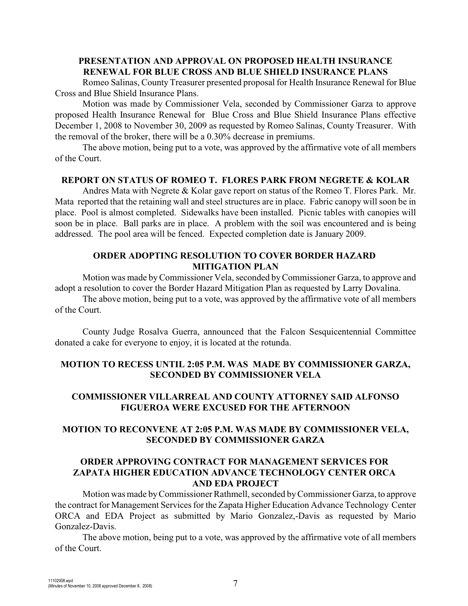# **PRESENTATION AND APPROVAL ON PROPOSED HEALTH INSURANCE RENEWAL FOR BLUE CROSS AND BLUE SHIELD INSURANCE PLANS**

Romeo Salinas, County Treasurer presented proposal for Health Insurance Renewal for Blue Cross and Blue Shield Insurance Plans.

Motion was made by Commissioner Vela, seconded by Commissioner Garza to approve proposed Health Insurance Renewal for Blue Cross and Blue Shield Insurance Plans effective December 1, 2008 to November 30, 2009 as requested by Romeo Salinas, County Treasurer. With the removal of the broker, there will be a 0.30% decrease in premiums.

The above motion, being put to a vote, was approved by the affirmative vote of all members of the Court.

#### **REPORT ON STATUS OF ROMEO T. FLORES PARK FROM NEGRETE & KOLAR**

Andres Mata with Negrete & Kolar gave report on status of the Romeo T. Flores Park. Mr. Mata reported that the retaining wall and steel structures are in place. Fabric canopy will soon be in place. Pool is almost completed. Sidewalks have been installed. Picnic tables with canopies will soon be in place. Ball parks are in place. A problem with the soil was encountered and is being addressed. The pool area will be fenced. Expected completion date is January 2009.

### **ORDER ADOPTING RESOLUTION TO COVER BORDER HAZARD MITIGATION PLAN**

Motion was made byCommissioner Vela, seconded by Commissioner Garza, to approve and adopt a resolution to cover the Border Hazard Mitigation Plan as requested by Larry Dovalina.

The above motion, being put to a vote, was approved by the affirmative vote of all members of the Court.

County Judge Rosalva Guerra, announced that the Falcon Sesquicentennial Committee donated a cake for everyone to enjoy, it is located at the rotunda.

# **MOTION TO RECESS UNTIL 2:05 P.M. WAS MADE BY COMMISSIONER GARZA, SECONDED BY COMMISSIONER VELA**

# **COMMISSIONER VILLARREAL AND COUNTY ATTORNEY SAID ALFONSO FIGUEROA WERE EXCUSED FOR THE AFTERNOON**

# **MOTION TO RECONVENE AT 2:05 P.M. WAS MADE BY COMMISSIONER VELA, SECONDED BY COMMISSIONER GARZA**

## **ORDER APPROVING CONTRACT FOR MANAGEMENT SERVICES FOR ZAPATA HIGHER EDUCATION ADVANCE TECHNOLOGY CENTER ORCA AND EDA PROJECT**

Motion was made byCommissioner Rathmell, seconded byCommissioner Garza, to approve the contract for Management Services for the Zapata Higher Education Advance Technology Center ORCA and EDA Project as submitted by Mario Gonzalez,-Davis as requested by Mario Gonzalez-Davis.